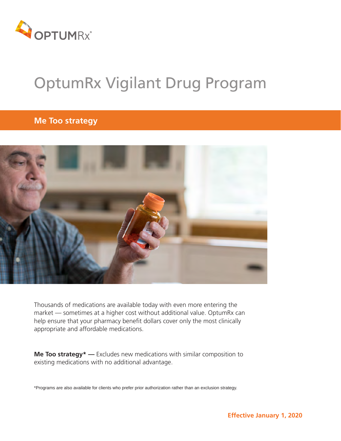

# OptumRx Vigilant Drug Program

# **Me Too strategy**



Thousands of medications are available today with even more entering the market — sometimes at a higher cost without additional value. OptumRx can help ensure that your pharmacy benefit dollars cover only the most clinically appropriate and affordable medications.

**Me Too strategy\* —** Excludes new medications with similar composition to existing medications with no additional advantage.

\*Programs are also available for clients who prefer prior authorization rather than an exclusion strategy.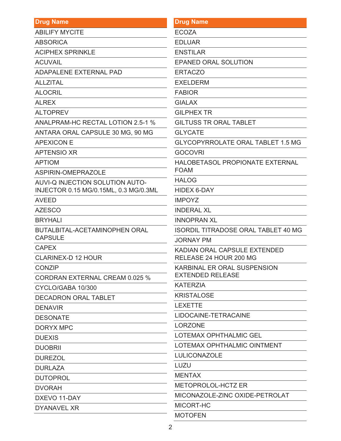| <b>Drug Name</b>                      | <b>Drug Name</b>                                              |
|---------------------------------------|---------------------------------------------------------------|
| <b>ABILIFY MYCITE</b>                 | <b>ECOZA</b>                                                  |
| <b>ABSORICA</b>                       | <b>EDLUAR</b>                                                 |
| <b>ACIPHEX SPRINKLE</b>               | <b>ENSTILAR</b>                                               |
| <b>ACUVAIL</b>                        | <b>EPANED ORAL SOLUTION</b>                                   |
| <b>ADAPALENE EXTERNAL PAD</b>         | <b>ERTACZO</b>                                                |
| <b>ALLZITAL</b>                       | <b>EXELDERM</b>                                               |
| <b>ALOCRIL</b>                        | <b>FABIOR</b>                                                 |
| <b>ALREX</b>                          | <b>GIALAX</b>                                                 |
| <b>ALTOPREV</b>                       | <b>GILPHEX TR</b>                                             |
| ANALPRAM-HC RECTAL LOTION 2.5-1 %     | <b>GILTUSS TR ORAL TABLET</b>                                 |
| ANTARA ORAL CAPSULE 30 MG, 90 MG      | <b>GLYCATE</b>                                                |
| <b>APEXICON E</b>                     | <b>GLYCOPYRROLATE ORAL TABLET 1.5 MG</b>                      |
| <b>APTENSIO XR</b>                    | <b>GOCOVRI</b>                                                |
| <b>APTIOM</b>                         | HALOBETASOL PROPIONATE EXTERNAL                               |
| ASPIRIN-OMEPRAZOLE                    | <b>FOAM</b>                                                   |
| AUVI-Q INJECTION SOLUTION AUTO-       | <b>HALOG</b>                                                  |
| INJECTOR 0.15 MG/0.15ML, 0.3 MG/0.3ML | <b>HIDEX 6-DAY</b>                                            |
| <b>AVEED</b>                          | <b>IMPOYZ</b>                                                 |
| <b>AZESCO</b>                         | <b>INDERAL XL</b>                                             |
| <b>BRYHALI</b>                        | <b>INNOPRAN XL</b>                                            |
| <b>BUTALBITAL-ACETAMINOPHEN ORAL</b>  | <b>ISORDIL TITRADOSE ORAL TABLET 40 MG</b>                    |
| <b>CAPSULE</b>                        | <b>JORNAY PM</b>                                              |
| <b>CAPEX</b>                          | KADIAN ORAL CAPSULE EXTENDED                                  |
| <b>CLARINEX-D 12 HOUR</b>             | RELEASE 24 HOUR 200 MG                                        |
| <b>CONZIP</b>                         | <b>KARBINAL ER ORAL SUSPENSION</b><br><b>EXTENDED RELEASE</b> |
| CORDRAN EXTERNAL CREAM 0.025 %        | <b>KATERZIA</b>                                               |
| CYCLO/GABA 10/300                     | <b>KRISTALOSE</b>                                             |
| <b>DECADRON ORAL TABLET</b>           | <b>LEXETTE</b>                                                |
| <b>DENAVIR</b><br><b>DESONATE</b>     | LIDOCAINE-TETRACAINE                                          |
| <b>DORYX MPC</b>                      | <b>LORZONE</b>                                                |
| <b>DUEXIS</b>                         | LOTEMAX OPHTHALMIC GEL                                        |
|                                       | LOTEMAX OPHTHALMIC OINTMENT                                   |
| <b>DUOBRII</b>                        | <b>LULICONAZOLE</b>                                           |
| <b>DUREZOL</b>                        | LUZU                                                          |
| <b>DURLAZA</b>                        | <b>MENTAX</b>                                                 |
| <b>DUTOPROL</b>                       | <b>METOPROLOL-HCTZ ER</b>                                     |
| <b>DVORAH</b>                         | MICONAZOLE-ZINC OXIDE-PETROLAT                                |
| DXEVO 11-DAY<br><b>DYANAVEL XR</b>    | MICORT-HC                                                     |
|                                       | <b>MOTOFEN</b>                                                |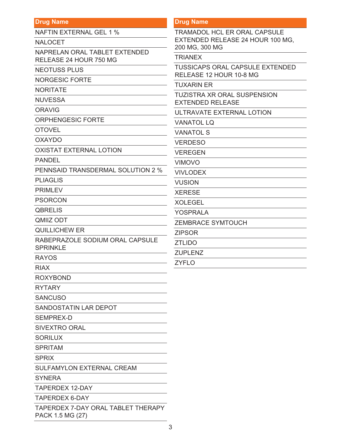#### **Drug Name**

NAFTIN EXTERNAL GEL 1 %

NALOCET

NAPRELAN ORAL TABLET EXTENDED RELEASE 24 HOUR 750 MG

NEOTUSS PLUS

NORGESIC FORTE

NORITATE

**NUVESSA** 

ORAVIG

ORPHENGESIC FORTE

OTOVEL

OXAYDO

OXISTAT EXTERNAL LOTION

PANDEL

PENNSAID TRANSDERMAL SOLUTION 2 %

PLIAGLIS

PRIMLEV

PSORCON

**QBRELIS** 

QMIIZ ODT

QUILLICHEW ER

RABEPRAZOLE SODIUM ORAL CAPSULE SPRINKLE

RAYOS

RIAX

ROXYBOND

RYTARY

**SANCUSO** 

SANDOSTATIN LAR DEPOT

SEMPREX-D

SIVEXTRO ORAL

**SORILUX** 

SPRITAM

**SPRIX** 

SULFAMYLON EXTERNAL CREAM

**SYNFRA** 

TAPERDEX 12-DAY

TAPERDEX 6-DAY

TAPERDEX 7-DAY ORAL TABLET THERAPY PACK 1.5 MG (27)

#### **Drug Name**

TRAMADOL HCL ER ORAL CAPSULE EXTENDED RELEASE 24 HOUR 100 MG, 200 MG, 300 MG

**TRIANEX** 

TUSSICAPS ORAL CAPSULE EXTENDED RELEASE 12 HOUR 10-8 MG

TUXARIN ER

TUZISTRA XR ORAL SUSPENSION EXTENDED RELEASE

ULTRAVATE EXTERNAL LOTION

VANATOL LQ

VANATOL S

VERDESO

VEREGEN

VIMOVO

VIVLODEX

VUSION

XERESE

XOLEGEL

YOSPRALA

ZEMBRACE SYMTOUCH

ZIPSOR

ZTLIDO

ZUPLENZ

ZYFLO